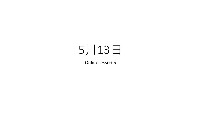## 5月13日

Online lesson 5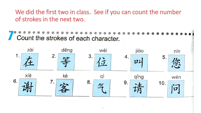We did the first two in class. See if you can count the number of strokes in the next two.

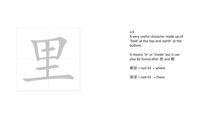

## Li3

A very useful character made up of 'field' at the top and 'earth' at the bottom.

It means 'in' or 'inside' but it can also be found after 那 and 哪

哪里 =  $na3$  li3 = where

那里 =  $na4$  li3 = there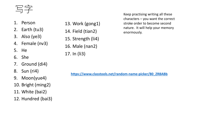## 写字

- 1. Person
- 2. Earth (tu3)
- 3. Also (ye3)
- 4. Female (nv3)
- 5. He
- 6. She
- 7. Ground (di4)
- 8. Sun (ri4)
- 9. Moon(yue4)
- 10. Bright (ming2)
- 11. White (bai2)
- 12. Hundred (bai3)
- 13. Work (gong1)
- 14. Field (tian2)
- 15. Strength (li4)
- 16. Male (nan2)

17. In (li3)

Keep practising writing all these characters – you want the correct stroke order to become second nature. It will help your memory enormously.

**[https://www.classtools.net/random-name-picker/80\\_ZR8ABb](https://www.classtools.net/random-name-picker/80_ZR8ABb)**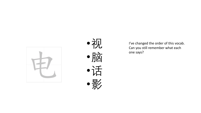



I've changed the order of this vocab. Can you still remember what each one says?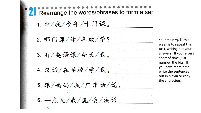Rearrange the words/phrases to form a ser 1. 学/我/今年/十门课。 2. 哪门课/你/喜欢/学? Your main  $f \not\in \mathcal{W}$  this 3. 有/英语课/今天/我。 4. 汉语/在学校/学/我。 5. 跟/妈妈/我/广东话/说。 6. 一点儿/我/说/会/法语。

week is to repeat this task, writing out your answers. If you're very short of time, just number the bits. If you have more time, write the sentences out in pinyin or copy the characters.